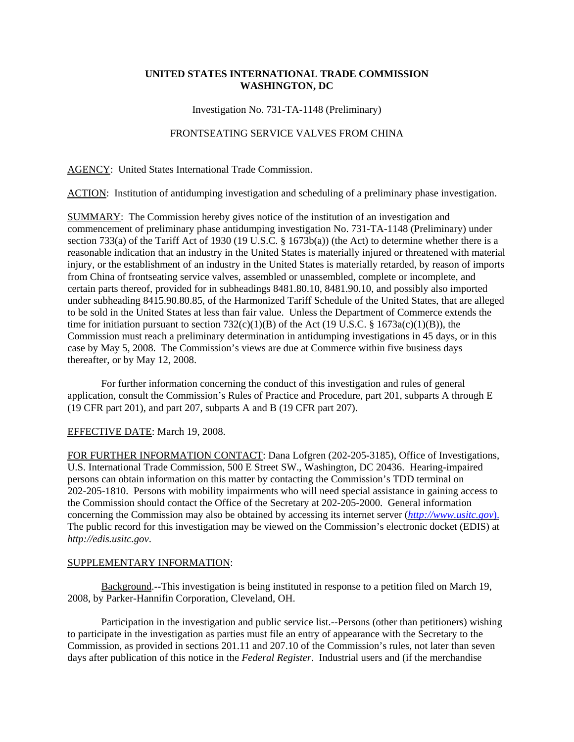## **UNITED STATES INTERNATIONAL TRADE COMMISSION WASHINGTON, DC**

## Investigation No. 731-TA-1148 (Preliminary)

# FRONTSEATING SERVICE VALVES FROM CHINA

AGENCY: United States International Trade Commission.

ACTION: Institution of antidumping investigation and scheduling of a preliminary phase investigation.

SUMMARY: The Commission hereby gives notice of the institution of an investigation and commencement of preliminary phase antidumping investigation No. 731-TA-1148 (Preliminary) under section 733(a) of the Tariff Act of 1930 (19 U.S.C. § 1673b(a)) (the Act) to determine whether there is a reasonable indication that an industry in the United States is materially injured or threatened with material injury, or the establishment of an industry in the United States is materially retarded, by reason of imports from China of frontseating service valves, assembled or unassembled, complete or incomplete, and certain parts thereof, provided for in subheadings 8481.80.10, 8481.90.10, and possibly also imported under subheading 8415.90.80.85, of the Harmonized Tariff Schedule of the United States, that are alleged to be sold in the United States at less than fair value. Unless the Department of Commerce extends the time for initiation pursuant to section  $732(c)(1)(B)$  of the Act (19 U.S.C. § 1673a(c)(1)(B)), the Commission must reach a preliminary determination in antidumping investigations in 45 days, or in this case by May 5, 2008. The Commission's views are due at Commerce within five business days thereafter, or by May 12, 2008.

For further information concerning the conduct of this investigation and rules of general application, consult the Commission's Rules of Practice and Procedure, part 201, subparts A through E (19 CFR part 201), and part 207, subparts A and B (19 CFR part 207).

#### EFFECTIVE DATE: March 19, 2008.

FOR FURTHER INFORMATION CONTACT: Dana Lofgren (202-205-3185), Office of Investigations, U.S. International Trade Commission, 500 E Street SW., Washington, DC 20436. Hearing-impaired persons can obtain information on this matter by contacting the Commission's TDD terminal on 202-205-1810. Persons with mobility impairments who will need special assistance in gaining access to the Commission should contact the Office of the Secretary at 202-205-2000. General information concerning the Commission may also be obtained by accessing its internet server (*http://www.usitc.gov*). The public record for this investigation may be viewed on the Commission's electronic docket (EDIS) at *http://edis.usitc.gov*.

## SUPPLEMENTARY INFORMATION:

Background.--This investigation is being instituted in response to a petition filed on March 19, 2008, by Parker-Hannifin Corporation, Cleveland, OH.

Participation in the investigation and public service list.--Persons (other than petitioners) wishing to participate in the investigation as parties must file an entry of appearance with the Secretary to the Commission, as provided in sections 201.11 and 207.10 of the Commission's rules, not later than seven days after publication of this notice in the *Federal Register*. Industrial users and (if the merchandise